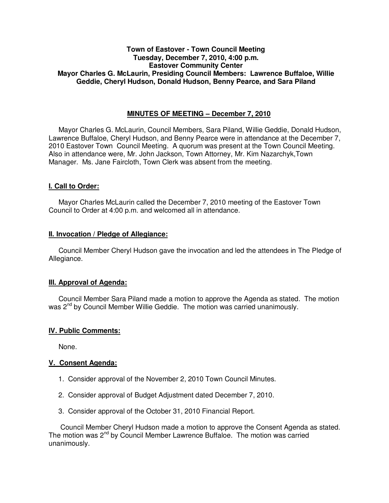## **Town of Eastover - Town Council Meeting Tuesday, December 7, 2010, 4:00 p.m. Eastover Community Center Mayor Charles G. McLaurin, Presiding Council Members: Lawrence Buffaloe, Willie Geddie, Cheryl Hudson, Donald Hudson, Benny Pearce, and Sara Piland**

# **MINUTES OF MEETING – December 7, 2010**

Mayor Charles G. McLaurin, Council Members, Sara Piland, Willie Geddie, Donald Hudson, Lawrence Buffaloe, Cheryl Hudson, and Benny Pearce were in attendance at the December 7, 2010 Eastover Town Council Meeting. A quorum was present at the Town Council Meeting. Also in attendance were, Mr. John Jackson, Town Attorney, Mr. Kim Nazarchyk,Town Manager. Ms. Jane Faircloth, Town Clerk was absent from the meeting.

## **I. Call to Order:**

Mayor Charles McLaurin called the December 7, 2010 meeting of the Eastover Town Council to Order at 4:00 p.m. and welcomed all in attendance.

### **II. Invocation / Pledge of Allegiance:**

 Council Member Cheryl Hudson gave the invocation and led the attendees in The Pledge of Allegiance.

# **III. Approval of Agenda:**

 Council Member Sara Piland made a motion to approve the Agenda as stated. The motion was 2<sup>nd</sup> by Council Member Willie Geddie. The motion was carried unanimously.

### **IV. Public Comments:**

None.

### **V. Consent Agenda:**

- 1. Consider approval of the November 2, 2010 Town Council Minutes.
- 2. Consider approval of Budget Adjustment dated December 7, 2010.
- 3. Consider approval of the October 31, 2010 Financial Report.

 Council Member Cheryl Hudson made a motion to approve the Consent Agenda as stated. The motion was 2<sup>nd</sup> by Council Member Lawrence Buffaloe. The motion was carried unanimously.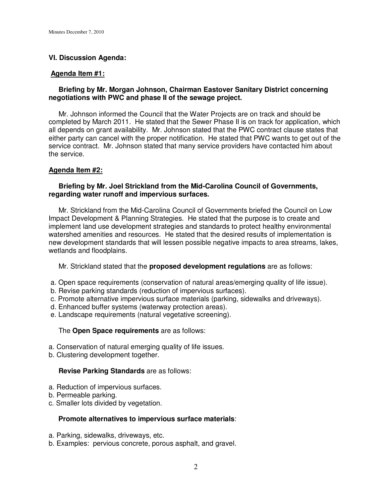# **VI. Discussion Agenda:**

#### **Agenda Item #1:**

## **Briefing by Mr. Morgan Johnson, Chairman Eastover Sanitary District concerning negotiations with PWC and phase II of the sewage project.**

Mr. Johnson informed the Council that the Water Projects are on track and should be completed by March 2011. He stated that the Sewer Phase II is on track for application, which all depends on grant availability. Mr. Johnson stated that the PWC contract clause states that either party can cancel with the proper notification. He stated that PWC wants to get out of the service contract. Mr. Johnson stated that many service providers have contacted him about the service.

## **Agenda Item #2:**

## **Briefing by Mr. Joel Strickland from the Mid-Carolina Council of Governments, regarding water runoff and impervious surfaces.**

 Mr. Strickland from the Mid-Carolina Council of Governments briefed the Council on Low Impact Development & Planning Strategies. He stated that the purpose is to create and implement land use development strategies and standards to protect healthy environmental watershed amenities and resources. He stated that the desired results of implementation is new development standards that will lessen possible negative impacts to area streams, lakes, wetlands and floodplains.

Mr. Strickland stated that the **proposed development regulations** are as follows:

- a. Open space requirements (conservation of natural areas/emerging quality of life issue).
- b. Revise parking standards (reduction of impervious surfaces).
- c. Promote alternative impervious surface materials (parking, sidewalks and driveways).
- d. Enhanced buffer systems (waterway protection areas).
- e. Landscape requirements (natural vegetative screening).

### The **Open Space requirements** are as follows:

- a. Conservation of natural emerging quality of life issues.
- b. Clustering development together.

### **Revise Parking Standards** are as follows:

- a. Reduction of impervious surfaces.
- b. Permeable parking.
- c. Smaller lots divided by vegetation.

## **Promote alternatives to impervious surface materials**:

- a. Parking, sidewalks, driveways, etc.
- b. Examples: pervious concrete, porous asphalt, and gravel.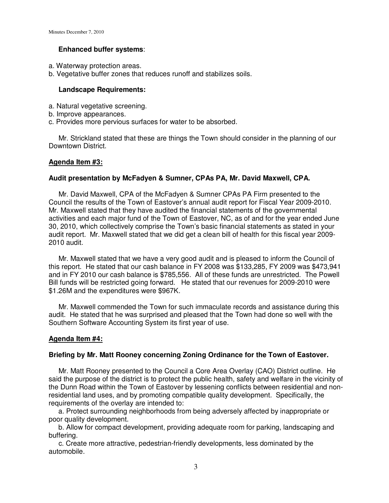## **Enhanced buffer systems**:

- a. Waterway protection areas.
- b. Vegetative buffer zones that reduces runoff and stabilizes soils.

## **Landscape Requirements:**

- a. Natural vegetative screening.
- b. Improve appearances.
- c. Provides more pervious surfaces for water to be absorbed.

 Mr. Strickland stated that these are things the Town should consider in the planning of our Downtown District.

## **Agenda Item #3:**

## **Audit presentation by McFadyen & Sumner, CPAs PA, Mr. David Maxwell, CPA.**

 Mr. David Maxwell, CPA of the McFadyen & Sumner CPAs PA Firm presented to the Council the results of the Town of Eastover's annual audit report for Fiscal Year 2009-2010. Mr. Maxwell stated that they have audited the financial statements of the governmental activities and each major fund of the Town of Eastover, NC, as of and for the year ended June 30, 2010, which collectively comprise the Town's basic financial statements as stated in your audit report. Mr. Maxwell stated that we did get a clean bill of health for this fiscal year 2009- 2010 audit.

 Mr. Maxwell stated that we have a very good audit and is pleased to inform the Council of this report. He stated that our cash balance in FY 2008 was \$133,285, FY 2009 was \$473,941 and in FY 2010 our cash balance is \$785,556. All of these funds are unrestricted. The Powell Bill funds will be restricted going forward. He stated that our revenues for 2009-2010 were \$1.26M and the expenditures were \$967K.

 Mr. Maxwell commended the Town for such immaculate records and assistance during this audit. He stated that he was surprised and pleased that the Town had done so well with the Southern Software Accounting System its first year of use.

### **Agenda Item #4:**

### **Briefing by Mr. Matt Rooney concerning Zoning Ordinance for the Town of Eastover.**

 Mr. Matt Rooney presented to the Council a Core Area Overlay (CAO) District outline. He said the purpose of the district is to protect the public health, safety and welfare in the vicinity of the Dunn Road within the Town of Eastover by lessening conflicts between residential and nonresidential land uses, and by promoting compatible quality development. Specifically, the requirements of the overlay are intended to:

 a. Protect surrounding neighborhoods from being adversely affected by inappropriate or poor quality development.

 b. Allow for compact development, providing adequate room for parking, landscaping and buffering.

 c. Create more attractive, pedestrian-friendly developments, less dominated by the automobile.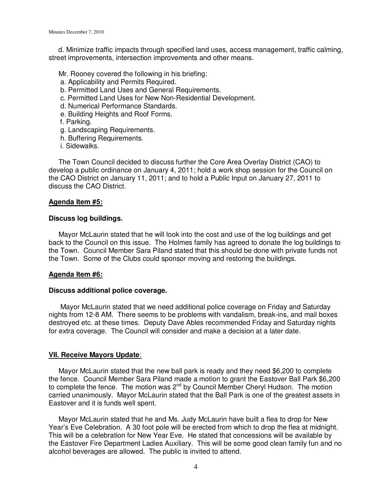d. Minimize traffic impacts through specified land uses, access management, traffic calming, street improvements, intersection improvements and other means.

- Mr. Rooney covered the following in his briefing:
- a. Applicability and Permits Required.
- b. Permitted Land Uses and General Requirements.
- c. Permitted Land Uses for New Non-Residential Development.
- d. Numerical Performance Standards.
- e. Building Heights and Roof Forms.
- f. Parking.
- g. Landscaping Requirements.
- h. Buffering Requirements.
- i. Sidewalks.

 The Town Council decided to discuss further the Core Area Overlay District (CAO) to develop a public ordinance on January 4, 2011; hold a work shop session for the Council on the CAO District on January 11, 2011; and to hold a Public Input on January 27, 2011 to discuss the CAO District.

### **Agenda Item #5:**

#### **Discuss log buildings.**

 Mayor McLaurin stated that he will look into the cost and use of the log buildings and get back to the Council on this issue. The Holmes family has agreed to donate the log buildings to the Town. Council Member Sara Piland stated that this should be done with private funds not the Town. Some of the Clubs could sponsor moving and restoring the buildings.

### **Agenda Item #6:**

#### **Discuss additional police coverage.**

 Mayor McLaurin stated that we need additional police coverage on Friday and Saturday nights from 12-8 AM. There seems to be problems with vandalism, break-ins, and mail boxes destroyed etc. at these times. Deputy Dave Ables recommended Friday and Saturday nights for extra coverage. The Council will consider and make a decision at a later date.

### **VII. Receive Mayors Update**:

 Mayor McLaurin stated that the new ball park is ready and they need \$6,200 to complete the fence. Council Member Sara Piland made a motion to grant the Eastover Ball Park \$6,200 to complete the fence. The motion was  $2^{nd}$  by Council Member Cheryl Hudson. The motion carried unanimously. Mayor McLaurin stated that the Ball Park is one of the greatest assets in Eastover and it is funds well spent.

 Mayor McLaurin stated that he and Ms. Judy McLaurin have built a flea to drop for New Year's Eve Celebration. A 30 foot pole will be erected from which to drop the flea at midnight. This will be a celebration for New Year Eve. He stated that concessions will be available by the Eastover Fire Department Ladies Auxiliary. This will be some good clean family fun and no alcohol beverages are allowed. The public is invited to attend.